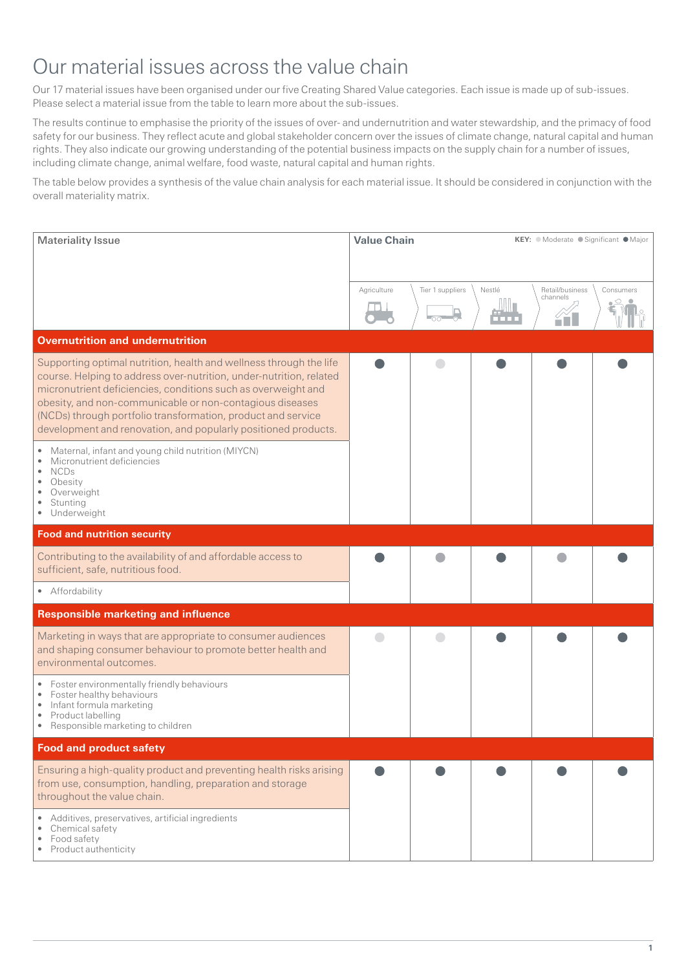## Our material issues across the value chain

Our 17 material issues have been organised under our five Creating Shared Value categories. Each issue is made up of sub-issues. Please select a material issue from the table to learn more about the sub-issues.

The results continue to emphasise the priority of the issues of over- and undernutrition and water stewardship, and the primacy of food safety for our business. They reflect acute and global stakeholder concern over the issues of climate change, natural capital and human rights. They also indicate our growing understanding of the potential business impacts on the supply chain for a number of issues, including climate change, animal welfare, food waste, natural capital and human rights.

The table below provides a synthesis of the value chain analysis for each material issue. It should be considered in conjunction with the overall materiality matrix.

| <b>Materiality Issue</b>                                                                                                                                                                                                                                                                                                                                                                                 | <b>Value Chain</b> |                  |        | KEY: ● Moderate ● Significant ● Major |           |  |
|----------------------------------------------------------------------------------------------------------------------------------------------------------------------------------------------------------------------------------------------------------------------------------------------------------------------------------------------------------------------------------------------------------|--------------------|------------------|--------|---------------------------------------|-----------|--|
|                                                                                                                                                                                                                                                                                                                                                                                                          | Agriculture        | Tier 1 suppliers | Nestlé | Retail/business<br>channels           | Consumers |  |
| <b>Overnutrition and undernutrition</b>                                                                                                                                                                                                                                                                                                                                                                  |                    |                  |        |                                       |           |  |
| Supporting optimal nutrition, health and wellness through the life<br>course. Helping to address over-nutrition, under-nutrition, related<br>micronutrient deficiencies, conditions such as overweight and<br>obesity, and non-communicable or non-contagious diseases<br>(NCDs) through portfolio transformation, product and service<br>development and renovation, and popularly positioned products. |                    |                  |        |                                       |           |  |
| Maternal, infant and young child nutrition (MIYCN)<br>$\bullet$<br>Micronutrient deficiencies<br><b>NCDs</b><br>Obesity<br>Overweight<br>Stunting<br>Underweight                                                                                                                                                                                                                                         |                    |                  |        |                                       |           |  |
| <b>Food and nutrition security</b>                                                                                                                                                                                                                                                                                                                                                                       |                    |                  |        |                                       |           |  |
| Contributing to the availability of and affordable access to<br>sufficient, safe, nutritious food.                                                                                                                                                                                                                                                                                                       |                    |                  |        |                                       |           |  |
| • Affordability                                                                                                                                                                                                                                                                                                                                                                                          |                    |                  |        |                                       |           |  |
| <b>Responsible marketing and influence</b>                                                                                                                                                                                                                                                                                                                                                               |                    |                  |        |                                       |           |  |
| Marketing in ways that are appropriate to consumer audiences<br>and shaping consumer behaviour to promote better health and<br>environmental outcomes.                                                                                                                                                                                                                                                   |                    |                  |        |                                       |           |  |
| Foster environmentally friendly behaviours<br>Foster healthy behaviours<br>$\bullet$<br>Infant formula marketing<br>٠<br>Product labelling<br>Responsible marketing to children<br>٠                                                                                                                                                                                                                     |                    |                  |        |                                       |           |  |
| <b>Food and product safety</b>                                                                                                                                                                                                                                                                                                                                                                           |                    |                  |        |                                       |           |  |
| Ensuring a high-quality product and preventing health risks arising<br>from use, consumption, handling, preparation and storage<br>throughout the value chain.                                                                                                                                                                                                                                           |                    |                  |        |                                       |           |  |
| Additives, preservatives, artificial ingredients<br>Chemical safety<br>Food safety<br>Product authenticity                                                                                                                                                                                                                                                                                               |                    |                  |        |                                       |           |  |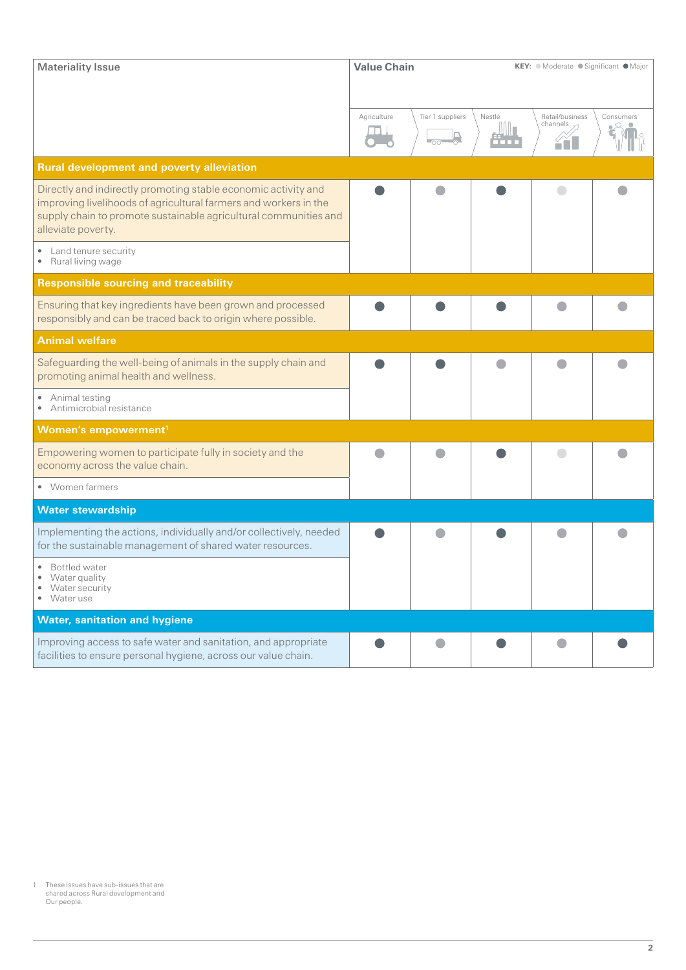| <b>Materiality Issue</b>                                                                                                                                                                                                     | <b>Value Chain</b> |                  |                       | KEY: ● Moderate ● Significant ● Major |           |  |
|------------------------------------------------------------------------------------------------------------------------------------------------------------------------------------------------------------------------------|--------------------|------------------|-----------------------|---------------------------------------|-----------|--|
|                                                                                                                                                                                                                              | Agriculture        | Tier 1 suppliers | Nestlé<br><u>aana</u> | Retail/business<br>channels<br>řH     | Consumers |  |
| <b>Rural development and poverty alleviation</b>                                                                                                                                                                             |                    |                  |                       |                                       |           |  |
| Directly and indirectly promoting stable economic activity and<br>improving livelihoods of agricultural farmers and workers in the<br>supply chain to promote sustainable agricultural communities and<br>alleviate poverty. |                    |                  |                       |                                       |           |  |
| • Land tenure security<br>• Rural living wage                                                                                                                                                                                |                    |                  |                       |                                       |           |  |
| <b>Responsible sourcing and traceability</b>                                                                                                                                                                                 |                    |                  |                       |                                       |           |  |
| Ensuring that key ingredients have been grown and processed<br>responsibly and can be traced back to origin where possible.                                                                                                  |                    |                  |                       |                                       |           |  |
| <b>Animal welfare</b>                                                                                                                                                                                                        |                    |                  |                       |                                       |           |  |
| Safeguarding the well-being of animals in the supply chain and<br>promoting animal health and wellness.                                                                                                                      |                    |                  |                       |                                       |           |  |
| • Animal testing<br>• Antimicrobial resistance                                                                                                                                                                               |                    |                  |                       |                                       |           |  |
| Women's empowerment <sup>1</sup>                                                                                                                                                                                             |                    |                  |                       |                                       |           |  |
| Empowering women to participate fully in society and the<br>economy across the value chain.                                                                                                                                  |                    |                  |                       |                                       |           |  |
| • Women farmers                                                                                                                                                                                                              |                    |                  |                       |                                       |           |  |
| <b>Water stewardship</b>                                                                                                                                                                                                     |                    |                  |                       |                                       |           |  |
| Implementing the actions, individually and/or collectively, needed<br>for the sustainable management of shared water resources.                                                                                              |                    |                  |                       |                                       |           |  |
| • Bottled water<br>Water quality<br>Water security<br>• Water use                                                                                                                                                            |                    |                  |                       |                                       |           |  |
| <b>Water, sanitation and hygiene</b>                                                                                                                                                                                         |                    |                  |                       |                                       |           |  |
| Improving access to safe water and sanitation, and appropriate<br>facilities to ensure personal hygiene, across our value chain.                                                                                             |                    |                  |                       |                                       |           |  |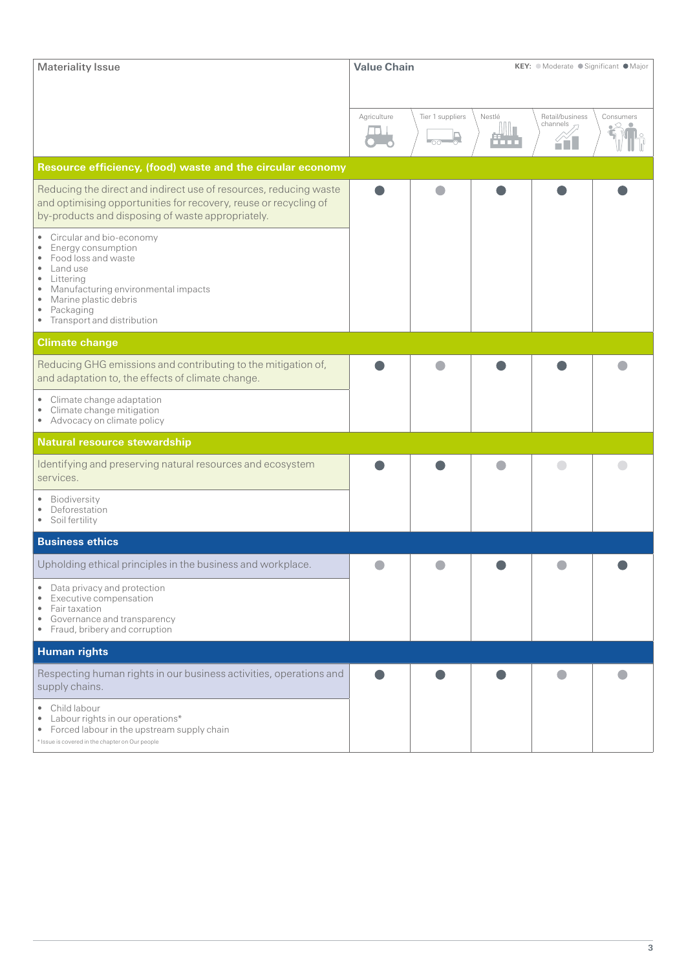| <b>Materiality Issue</b>                                                                                                                                                                                                                                            | <b>Value Chain</b> |                  | KEY: O Moderate ● Significant ● Major |                             |           |  |
|---------------------------------------------------------------------------------------------------------------------------------------------------------------------------------------------------------------------------------------------------------------------|--------------------|------------------|---------------------------------------|-----------------------------|-----------|--|
|                                                                                                                                                                                                                                                                     | Agriculture        | Tier 1 suppliers | Nestlé                                | Retail/business<br>channels | Consumers |  |
|                                                                                                                                                                                                                                                                     |                    | $-00-$           | ii in                                 | <u>čňL</u>                  |           |  |
| Resource efficiency, (food) waste and the circular economy                                                                                                                                                                                                          |                    |                  |                                       |                             |           |  |
| Reducing the direct and indirect use of resources, reducing waste<br>and optimising opportunities for recovery, reuse or recycling of<br>by-products and disposing of waste appropriately.                                                                          |                    |                  |                                       |                             |           |  |
| Circular and bio-economy<br>۰<br>Energy consumption<br>۰<br>Food loss and waste<br>۰<br>Land use<br>$\bullet$<br>Littering<br>٠<br>Manufacturing environmental impacts<br>٠<br>Marine plastic debris<br>$\bullet$<br>Packaging<br>۰<br>• Transport and distribution |                    |                  |                                       |                             |           |  |
| <b>Climate change</b>                                                                                                                                                                                                                                               |                    |                  |                                       |                             |           |  |
| Reducing GHG emissions and contributing to the mitigation of,<br>and adaptation to, the effects of climate change.                                                                                                                                                  |                    |                  |                                       |                             |           |  |
| Climate change adaptation<br>Climate change mitigation<br>۰<br>• Advocacy on climate policy                                                                                                                                                                         |                    |                  |                                       |                             |           |  |
| <b>Natural resource stewardship</b>                                                                                                                                                                                                                                 |                    |                  |                                       |                             |           |  |
| Identifying and preserving natural resources and ecosystem<br>services.                                                                                                                                                                                             |                    |                  |                                       |                             |           |  |
| Biodiversity<br>Deforestation<br>$\bullet$<br>Soil fertility<br>٠                                                                                                                                                                                                   |                    |                  |                                       |                             |           |  |
| <b>Business ethics</b>                                                                                                                                                                                                                                              |                    |                  |                                       |                             |           |  |
| Upholding ethical principles in the business and workplace.                                                                                                                                                                                                         |                    |                  |                                       |                             |           |  |
| Data privacy and protection<br>Executive compensation<br>$\bullet$<br>Fair taxation<br>٠<br>Governance and transparency<br>٠<br>Fraud, bribery and corruption<br>٠                                                                                                  |                    |                  |                                       |                             |           |  |
| <b>Human rights</b>                                                                                                                                                                                                                                                 |                    |                  |                                       |                             |           |  |
| Respecting human rights in our business activities, operations and<br>supply chains.                                                                                                                                                                                |                    |                  |                                       |                             |           |  |
| • Child labour<br>Labour rights in our operations*<br>۰<br>Forced labour in the upstream supply chain<br>٠<br>* Issue is covered in the chapter on Our people                                                                                                       |                    |                  |                                       |                             |           |  |